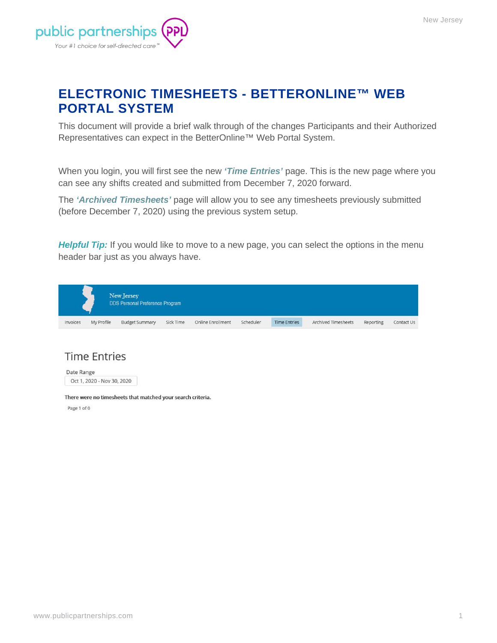

## **ELECTRONIC TIMESHEETS - BETTERONLINE™ WEB PORTAL SYSTEM**

This document will provide a brief walk through of the changes Participants and their Authorized Representatives can expect in the BetterOnline™ Web Portal System.

When you login, you will first see the new *'Time Entries'* page. This is the new page where you can see any shifts created and submitted from December 7, 2020 forward.

The *'Archived Timesheets'* page will allow you to see any timesheets previously submitted (before December 7, 2020) using the previous system setup.

**Helpful Tip:** If you would like to move to a new page, you can select the options in the menu header bar just as you always have.



#### **Time Entries**

Date Range Oct 1, 2020 - Nov 30, 2020

There were no timesheets that matched your search criteria.

Page 1 of 0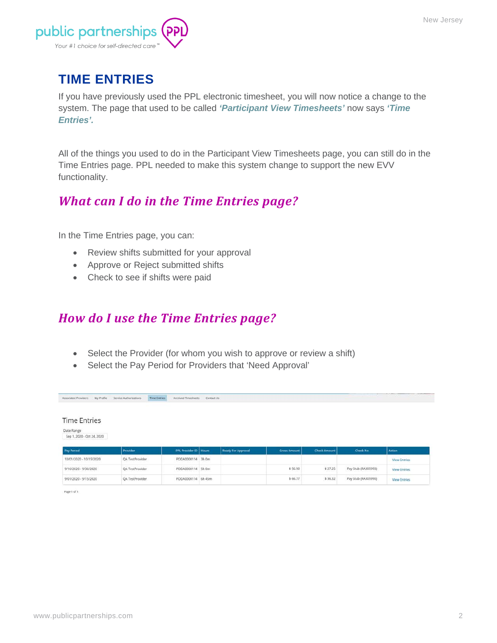

# **TIME ENTRIES**

If you have previously used the PPL electronic timesheet, you will now notice a change to the system. The page that used to be called *'Participant View Timesheets'* now says *'Time Entries'.* 

All of the things you used to do in the Participant View Timesheets page, you can still do in the Time Entries page. PPL needed to make this system change to support the new EVV functionality.

## *What can I do in the Time Entries page?*

In the Time Entries page, you can:

- Review shifts submitted for your approval
- Approve or Reject submitted shifts
- Check to see if shifts were paid

### *How do I use the Time Entries page?*

- Select the Provider (for whom you wish to approve or review a shift)
- Select the Pay Period for Providers that 'Need Approval'

| <b>Time Entries</b>                                            |                 |                         |                    |                     |                     |                     |                     |
|----------------------------------------------------------------|-----------------|-------------------------|--------------------|---------------------|---------------------|---------------------|---------------------|
| Date Range<br>Sep 1, 2020 - Oct 24, 2020                       |                 |                         |                    |                     |                     |                     |                     |
|                                                                |                 |                         |                    |                     |                     |                     |                     |
|                                                                |                 |                         |                    |                     |                     |                     |                     |
|                                                                | Provider        | PPL Provider ID   Hours | Ready For Approval | <b>Gross Amount</b> | <b>Check Amount</b> | Check No            | <b>Action</b>       |
|                                                                | QA TestProvider | PODA0000114 3h 0m       |                    |                     |                     |                     | <b>View Entries</b> |
| Pay Period<br>10/01/2020 - 10/15/2020<br>9/16/2020 - 9/30/2020 | QA TestProvider | PODA0000114 5h 0m       |                    | \$56.90             | \$27.25             | Pay Stub (RA305993) | <b>View Entries</b> |

Page 1 of 1